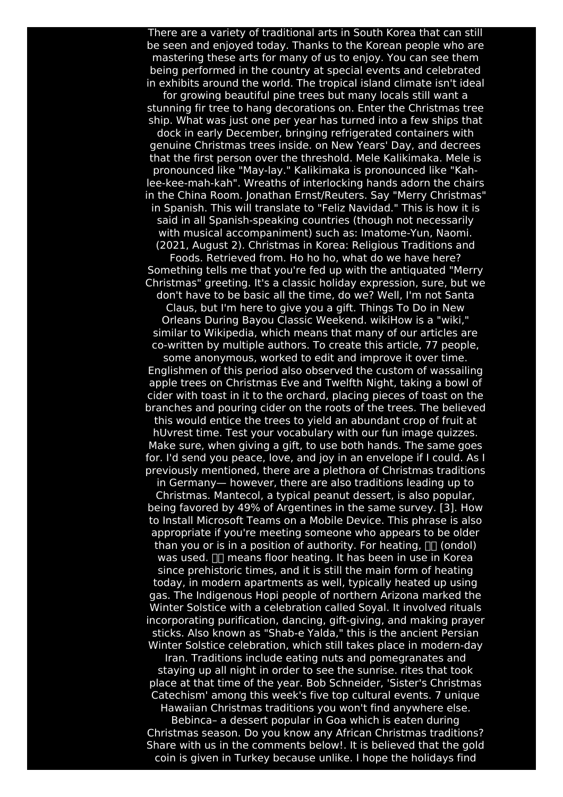There are a variety of traditional arts in South Korea that can still be seen and enjoyed today. Thanks to the Korean people who are mastering these arts for many of us to enjoy. You can see them being performed in the country at special events and celebrated in exhibits around the world. The tropical island climate isn't ideal

for growing beautiful pine trees but many locals still want a stunning fir tree to hang decorations on. Enter the Christmas tree ship. What was just one per year has turned into a few ships that dock in early December, bringing refrigerated containers with genuine Christmas trees inside. on New Years' Day, and decrees that the first person over the threshold. Mele Kalikimaka. Mele is pronounced like "May-lay." Kalikimaka is pronounced like "Kahlee-kee-mah-kah". Wreaths of interlocking hands adorn the chairs in the China Room. Jonathan Ernst/Reuters. Say "Merry Christmas" in Spanish. This will translate to "Feliz Navidad." This is how it is said in all Spanish-speaking countries (though not necessarily with musical accompaniment) such as: Imatome-Yun, Naomi. (2021, August 2). Christmas in Korea: Religious Traditions and

Foods. Retrieved from. Ho ho ho, what do we have here? Something tells me that you're fed up with the antiquated "Merry Christmas" greeting. It's a classic holiday expression, sure, but we don't have to be basic all the time, do we? Well, I'm not Santa

Claus, but I'm here to give you a gift. Things To Do in New Orleans During Bayou Classic Weekend. wikiHow is a "wiki," similar to Wikipedia, which means that many of our articles are co-written by multiple authors. To create this article, 77 people,

some anonymous, worked to edit and improve it over time. Englishmen of this period also observed the custom of wassailing apple trees on Christmas Eve and Twelfth Night, taking a bowl of cider with toast in it to the orchard, placing pieces of toast on the branches and pouring cider on the roots of the trees. The believed

this would entice the trees to yield an abundant crop of fruit at hUvrest time. Test your vocabulary with our fun image quizzes. Make sure, when giving a gift, to use both hands. The same goes for. I'd send you peace, love, and joy in an envelope if I could. As I previously mentioned, there are a plethora of Christmas traditions

in Germany— however, there are also traditions leading up to Christmas. Mantecol, a typical peanut dessert, is also popular, being favored by 49% of Argentines in the same survey. [3]. How to Install Microsoft Teams on a Mobile Device. This phrase is also appropriate if you're meeting someone who appears to be older than you or is in a position of authority. For heating,  $\Box \Box$  (ondol) was used.  $\Box\Box$  means floor heating. It has been in use in Korea since prehistoric times, and it is still the main form of heating today, in modern apartments as well, typically heated up using gas. The Indigenous Hopi people of northern Arizona marked the Winter Solstice with a celebration called Soyal. It involved rituals incorporating purification, dancing, gift-giving, and making prayer sticks. Also known as "Shab-e Yalda," this is the ancient Persian Winter Solstice celebration, which still takes place in modern-day

Iran. Traditions include eating nuts and pomegranates and staying up all night in order to see the sunrise. rites that took place at that time of the year. Bob Schneider, 'Sister's Christmas Catechism' among this week's five top cultural events. 7 unique Hawaiian Christmas traditions you won't find anywhere else.

Bebinca– a dessert popular in Goa which is eaten during Christmas season. Do you know any African Christmas traditions? Share with us in the comments below!. It is believed that the gold coin is given in Turkey because unlike. I hope the holidays find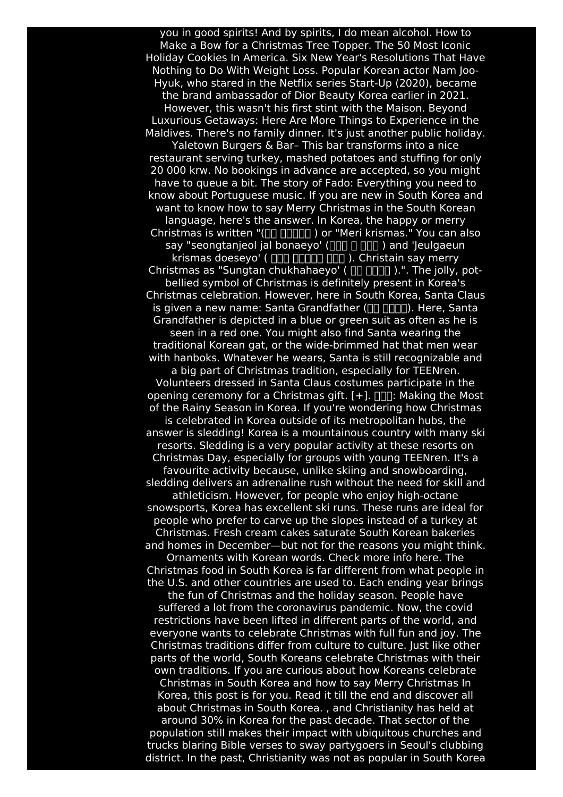you in good spirits! And by spirits, I do mean alcohol. How to Make a Bow for a Christmas Tree Topper. The 50 Most Iconic Holiday Cookies In America. Six New Year's Resolutions That Have Nothing to Do With Weight Loss. Popular Korean actor Nam Joo-Hyuk, who stared in the Netflix series Start-Up (2020), became the brand ambassador of Dior Beauty Korea earlier in 2021. However, this wasn't his first stint with the Maison. Beyond Luxurious Getaways: Here Are More Things to Experience in the Maldives. There's no family dinner. It's just another public holiday. Yaletown Burgers & Bar– This bar transforms into a nice restaurant serving turkey, mashed potatoes and stuffing for only 20 000 krw. No bookings in advance are accepted, so you might have to queue a bit. The story of Fado: Everything you need to know about Portuguese music. If you are new in South Korea and want to know how to say Merry Christmas in the South Korean language, here's the answer. In Korea, the happy or merry Christmas is written "( $\Box$   $\Box$  $\Box$  $\Box$ ) or "Meri krismas." You can also say "seongtanjeol jal bonaeyo' (nnn n nnd 'Jeulgaeun krismas doeseyo' (  $\Box$   $\Box$   $\Box$   $\Box$   $\Box$   $\Box$   $\Box$  ). Christain say merry Christmas as "Sungtan chukhahaeyo' ( $\Box$  $\Box$  $\Box$  $\Box$  $\Box$ ).". The jolly, potbellied symbol of Christmas is definitely present in Korea's Christmas celebration. However, here in South Korea, Santa Claus is given a new name: Santa Grandfather  $(\Box \Box \Box \Box \Box)$ . Here, Santa Grandfather is depicted in a blue or green suit as often as he is seen in a red one. You might also find Santa wearing the traditional Korean gat, or the wide-brimmed hat that men wear with hanboks. Whatever he wears, Santa is still recognizable and a big part of Christmas tradition, especially for TEENren. Volunteers dressed in Santa Claus costumes participate in the opening ceremony for a Christmas gift.  $[+]$ .  $\Box$  Making the Most of the Rainy Season in Korea. If you're wondering how Christmas is celebrated in Korea outside of its metropolitan hubs, the answer is sledding! Korea is a mountainous country with many ski resorts. Sledding is a very popular activity at these resorts on Christmas Day, especially for groups with young TEENren. It's a favourite activity because, unlike skiing and snowboarding, sledding delivers an adrenaline rush without the need for skill and athleticism. However, for people who enjoy high-octane snowsports, Korea has excellent ski runs. These runs are ideal for people who prefer to carve up the slopes instead of a turkey at Christmas. Fresh cream cakes saturate South Korean bakeries and homes in December—but not for the reasons you might think. Ornaments with Korean words. Check more info here. The Christmas food in South Korea is far different from what people in the U.S. and other countries are used to. Each ending year brings the fun of Christmas and the holiday season. People have suffered a lot from the coronavirus pandemic. Now, the covid restrictions have been lifted in different parts of the world, and everyone wants to celebrate Christmas with full fun and joy. The Christmas traditions differ from culture to culture. Just like other parts of the world, South Koreans celebrate Christmas with their own traditions. If you are curious about how Koreans celebrate Christmas in South Korea and how to say Merry Christmas In Korea, this post is for you. Read it till the end and discover all about Christmas in South Korea. , and Christianity has held at around 30% in Korea for the past decade. That sector of the population still makes their impact with ubiquitous churches and trucks blaring Bible verses to sway partygoers in Seoul's clubbing district. In the past, Christianity was not as popular in South Korea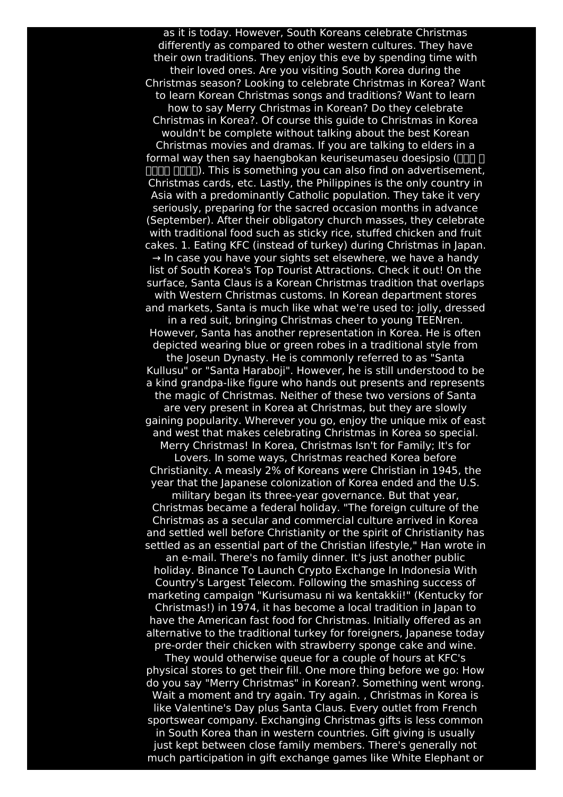as it is today. However, South Koreans celebrate Christmas differently as compared to other western cultures. They have their own traditions. They enjoy this eve by spending time with their loved ones. Are you visiting South Korea during the Christmas season? Looking to celebrate Christmas in Korea? Want to learn Korean Christmas songs and traditions? Want to learn how to say Merry Christmas in Korean? Do they celebrate Christmas in Korea?. Of course this guide to Christmas in Korea wouldn't be complete without talking about the best Korean Christmas movies and dramas. If you are talking to elders in a formal way then say haengbokan keuriseumaseu doesipsio (  $\Box$  $\Box$  $\Box$  $\Box$ ). This is something you can also find on advertisement, Christmas cards, etc. Lastly, the Philippines is the only country in Asia with a predominantly Catholic population. They take it very seriously, preparing for the sacred occasion months in advance (September). After their obligatory church masses, they celebrate with traditional food such as sticky rice, stuffed chicken and fruit cakes. 1. Eating KFC (instead of turkey) during Christmas in Japan.  $\rightarrow$  In case you have your sights set elsewhere, we have a handy list of South Korea's Top Tourist Attractions. Check it out! On the surface, Santa Claus is a Korean Christmas tradition that overlaps with Western Christmas customs. In Korean department stores and markets, Santa is much like what we're used to: jolly, dressed in a red suit, bringing Christmas cheer to young TEENren. However, Santa has another representation in Korea. He is often depicted wearing blue or green robes in a traditional style from the Joseun Dynasty. He is commonly referred to as "Santa Kullusu" or "Santa Haraboji". However, he is still understood to be a kind grandpa-like figure who hands out presents and represents the magic of Christmas. Neither of these two versions of Santa are very present in Korea at Christmas, but they are slowly gaining popularity. Wherever you go, enjoy the unique mix of east and west that makes celebrating Christmas in Korea so special. Merry Christmas! In Korea, Christmas Isn't for Family; It's for Lovers. In some ways, Christmas reached Korea before Christianity. A measly 2% of Koreans were Christian in 1945, the year that the Japanese colonization of Korea ended and the U.S. military began its three-year governance. But that year, Christmas became a federal holiday. "The foreign culture of the Christmas as a secular and commercial culture arrived in Korea and settled well before Christianity or the spirit of Christianity has settled as an essential part of the Christian lifestyle," Han wrote in an e-mail. There's no family dinner. It's just another public holiday. Binance To Launch Crypto Exchange In Indonesia With Country's Largest Telecom. Following the smashing success of marketing campaign "Kurisumasu ni wa kentakkii!" (Kentucky for Christmas!) in 1974, it has become a local tradition in Japan to have the American fast food for Christmas. Initially offered as an alternative to the traditional turkey for foreigners, Japanese today pre-order their chicken with strawberry sponge cake and wine. They would otherwise queue for a couple of hours at KFC's physical stores to get their fill. One more thing before we go: How do you say "Merry Christmas" in Korean?. Something went wrong. Wait a moment and try again. Try again. , Christmas in Korea is like Valentine's Day plus Santa Claus. Every outlet from French sportswear company. Exchanging Christmas gifts is less common in South Korea than in western countries. Gift giving is usually just kept between close family members. There's generally not much participation in gift exchange games like White Elephant or